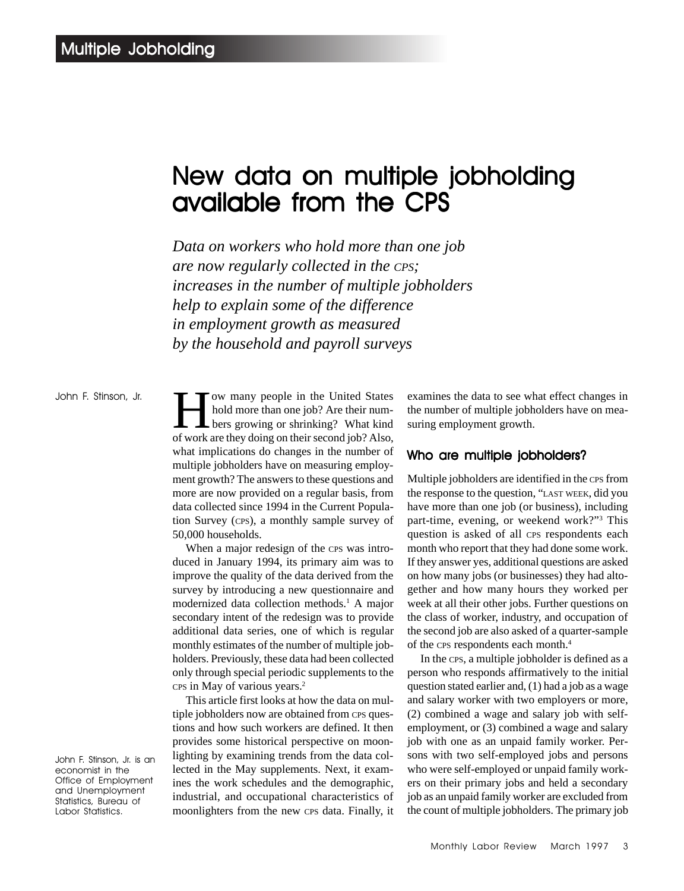# New data on multiple jobholding available from the CPS

*Data on workers who hold more than one job are now regularly collected in the CPS; increases in the number of multiple jobholders help to explain some of the difference in employment growth as measured by the household and payroll surveys*

John F. Stinson, Jr.

Tow many people in the United States<br>hold more than one job? Are their num-<br>bers growing or shrinking? What kind<br>of work are they doing on their second job? Also hold more than one job? Are their numbers growing or shrinking? What kind of work are they doing on their second job? Also, what implications do changes in the number of multiple jobholders have on measuring employment growth? The answers to these questions and more are now provided on a regular basis, from data collected since 1994 in the Current Population Survey (CPS), a monthly sample survey of 50,000 households.

When a major redesign of the CPS was introduced in January 1994, its primary aim was to improve the quality of the data derived from the survey by introducing a new questionnaire and modernized data collection methods.<sup>1</sup> A major secondary intent of the redesign was to provide additional data series, one of which is regular monthly estimates of the number of multiple jobholders. Previously, these data had been collected only through special periodic supplements to the CPS in May of various years.2

This article first looks at how the data on multiple jobholders now are obtained from CPS questions and how such workers are defined. It then provides some historical perspective on moonlighting by examining trends from the data collected in the May supplements. Next, it examines the work schedules and the demographic, industrial, and occupational characteristics of moonlighters from the new CPS data. Finally, it examines the data to see what effect changes in the number of multiple jobholders have on measuring employment growth.

# Who are multiple jobholders?

Multiple jobholders are identified in the CPS from the response to the question, "LAST WEEK, did you have more than one job (or business), including part-time, evening, or weekend work?"3 This question is asked of all CPS respondents each month who report that they had done some work. If they answer yes, additional questions are asked on how many jobs (or businesses) they had altogether and how many hours they worked per week at all their other jobs. Further questions on the class of worker, industry, and occupation of the second job are also asked of a quarter-sample of the CPS respondents each month.4

In the CPS, a multiple jobholder is defined as a person who responds affirmatively to the initial question stated earlier and, (1) had a job as a wage and salary worker with two employers or more, (2) combined a wage and salary job with selfemployment, or (3) combined a wage and salary job with one as an unpaid family worker. Persons with two self-employed jobs and persons who were self-employed or unpaid family workers on their primary jobs and held a secondary job as an unpaid family worker are excluded from the count of multiple jobholders. The primary job

John F. Stinson, Jr. is an economist in the Office of Employment and Unemployment Statistics, Bureau of Labor Statistics.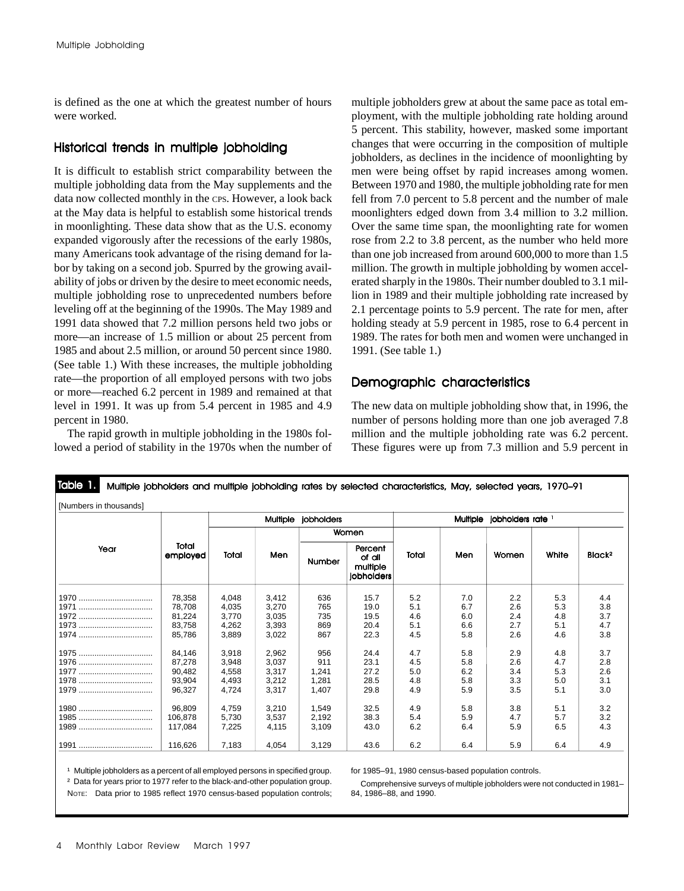is defined as the one at which the greatest number of hours were worked.

# Historical trends in multiple jobholding

It is difficult to establish strict comparability between the multiple jobholding data from the May supplements and the data now collected monthly in the CPS. However, a look back at the May data is helpful to establish some historical trends in moonlighting. These data show that as the U.S. economy expanded vigorously after the recessions of the early 1980s, many Americans took advantage of the rising demand for labor by taking on a second job. Spurred by the growing availability of jobs or driven by the desire to meet economic needs, multiple jobholding rose to unprecedented numbers before leveling off at the beginning of the 1990s. The May 1989 and 1991 data showed that 7.2 million persons held two jobs or more—an increase of 1.5 million or about 25 percent from 1985 and about 2.5 million, or around 50 percent since 1980. (See table 1.) With these increases, the multiple jobholding rate—the proportion of all employed persons with two jobs or more—reached 6.2 percent in 1989 and remained at that level in 1991. It was up from 5.4 percent in 1985 and 4.9 percent in 1980.

The rapid growth in multiple jobholding in the 1980s followed a period of stability in the 1970s when the number of multiple jobholders grew at about the same pace as total employment, with the multiple jobholding rate holding around 5 percent. This stability, however, masked some important changes that were occurring in the composition of multiple jobholders, as declines in the incidence of moonlighting by men were being offset by rapid increases among women. Between 1970 and 1980, the multiple jobholding rate for men fell from 7.0 percent to 5.8 percent and the number of male moonlighters edged down from 3.4 million to 3.2 million. Over the same time span, the moonlighting rate for women rose from 2.2 to 3.8 percent, as the number who held more than one job increased from around 600,000 to more than 1.5 million. The growth in multiple jobholding by women accelerated sharply in the 1980s. Their number doubled to 3.1 million in 1989 and their multiple jobholding rate increased by 2.1 percentage points to 5.9 percent. The rate for men, after holding steady at 5.9 percent in 1985, rose to 6.4 percent in 1989. The rates for both men and women were unchanged in 1991. (See table 1.)

# Demographic characteristics

The new data on multiple jobholding show that, in 1996, the number of persons holding more than one job averaged 7.8 million and the multiple jobholding rate was 6.2 percent. These figures were up from 7.3 million and 5.9 percent in

|      |                   | Multiple jobholders |       |               |                                             | Multiple jobholders rate 1 |     |       |       |                    |
|------|-------------------|---------------------|-------|---------------|---------------------------------------------|----------------------------|-----|-------|-------|--------------------|
| Year |                   | Total               | Men   | Women         |                                             |                            |     |       |       |                    |
|      | Total<br>employed |                     |       | <b>Number</b> | Percent<br>of all<br>multiple<br>jobholders | Total                      | Men | Women | White | Black <sup>2</sup> |
|      | 78,358            | 4,048               | 3,412 | 636           | 15.7                                        | 5.2                        | 7.0 | 2.2   | 5.3   | 4.4                |
|      | 78,708            | 4,035               | 3,270 | 765           | 19.0                                        | 5.1                        | 6.7 | 2.6   | 5.3   | 3.8                |
|      | 81,224            | 3,770               | 3,035 | 735           | 19.5                                        | 4.6                        | 6.0 | 2.4   | 4.8   | 3.7                |
|      | 83,758            | 4,262               | 3,393 | 869           | 20.4                                        | 5.1                        | 6.6 | 2.7   | 5.1   | 4.7                |
| 1974 | 85,786            | 3,889               | 3,022 | 867           | 22.3                                        | 4.5                        | 5.8 | 2.6   | 4.6   | 3.8                |
| 1975 | 84,146            | 3,918               | 2,962 | 956           | 24.4                                        | 4.7                        | 5.8 | 2.9   | 4.8   | 3.7                |
| 1976 | 87,278            | 3,948               | 3,037 | 911           | 23.1                                        | 4.5                        | 5.8 | 2.6   | 4.7   | 2.8                |
|      | 90,482            | 4,558               | 3,317 | 1.241         | 27.2                                        | 5.0                        | 6.2 | 3.4   | 5.3   | 2.6                |
| 1978 | 93,904            | 4,493               | 3,212 | 1,281         | 28.5                                        | 4.8                        | 5.8 | 3.3   | 5.0   | 3.1                |
|      | 96,327            | 4,724               | 3,317 | 1,407         | 29.8                                        | 4.9                        | 5.9 | 3.5   | 5.1   | 3.0                |
| 1980 | 96,809            | 4,759               | 3,210 | 1,549         | 32.5                                        | 4.9                        | 5.8 | 3.8   | 5.1   | 3.2                |
| 1985 | 106,878           | 5,730               | 3,537 | 2,192         | 38.3                                        | 5.4                        | 5.9 | 4.7   | 5.7   | 3.2                |
|      | 117,084           | 7,225               | 4,115 | 3,109         | 43.0                                        | 6.2                        | 6.4 | 5.9   | 6.5   | 4.3                |
|      | 116.626           | 7,183               | 4.054 | 3,129         | 43.6                                        | 6.2                        | 6.4 | 5.9   | 6.4   | 4.9                |

# Table 1. Multiple jobholders and multiple jobholding rates by selected characteristics, May, selected years, 1970–91

<sup>1</sup> Multiple jobholders as a percent of all employed persons in specified group.

for 1985–91, 1980 census-based population controls.

² Data for years prior to 1977 refer to the black-and-other population group. NOTE: Data prior to 1985 reflect 1970 census-based population controls;

Comprehensive surveys of multiple jobholders were not conducted in 1981– 84, 1986–88, and 1990.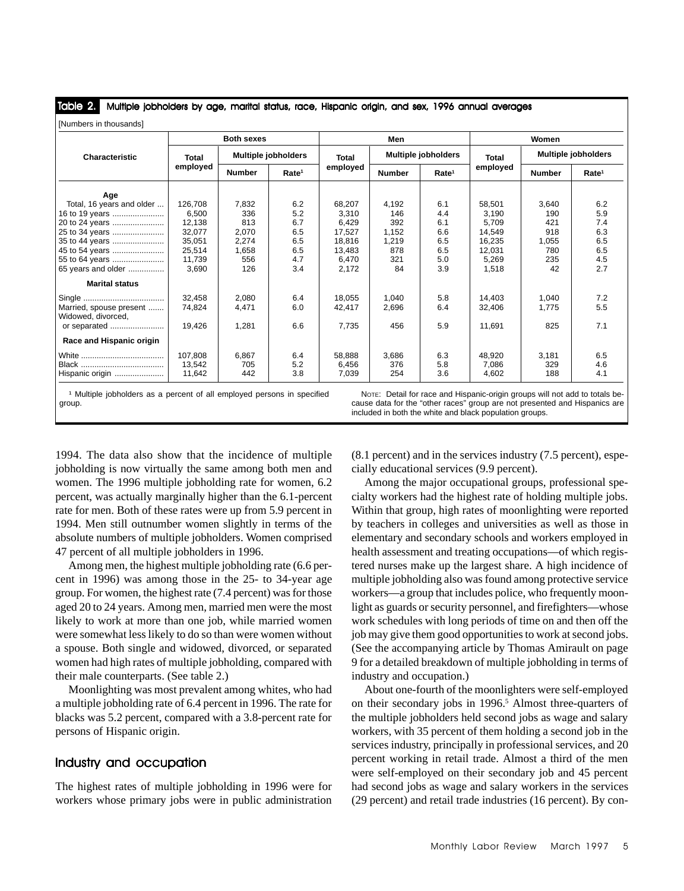Multiple jobholders by age, marital status, race, Hispanic origin, and sex, 1996 annual averages Table 2.

| [Numbers in thousands]                        |                   |                            |                   |          |                            |                   |          |                            |                   |
|-----------------------------------------------|-------------------|----------------------------|-------------------|----------|----------------------------|-------------------|----------|----------------------------|-------------------|
|                                               | <b>Both sexes</b> |                            |                   | Men      |                            |                   | Women    |                            |                   |
| Characteristic                                | Total             | <b>Multiple jobholders</b> |                   | Total    | <b>Multiple jobholders</b> |                   | Total    | <b>Multiple jobholders</b> |                   |
|                                               | employed          | <b>Number</b>              | Rate <sup>1</sup> | employed | <b>Number</b>              | Rate <sup>1</sup> | employed | <b>Number</b>              | Rate <sup>1</sup> |
| Age                                           |                   |                            |                   |          |                            |                   |          |                            |                   |
| Total, 16 years and older                     | 126.708           | 7,832                      | 6.2               | 68,207   | 4,192                      | 6.1               | 58,501   | 3.640                      | 6.2               |
| 16 to 19 years                                | 6,500             | 336                        | 5.2               | 3,310    | 146                        | 4.4               | 3.190    | 190                        | 5.9               |
| 20 to 24 years                                | 12,138            | 813                        | 6.7               | 6.429    | 392                        | 6.1               | 5.709    | 421                        | 7.4               |
| 25 to 34 years                                | 32,077            | 2,070                      | 6.5               | 17.527   | 1,152                      | 6.6               | 14.549   | 918                        | 6.3               |
| 35 to 44 years                                | 35,051            | 2,274                      | 6.5               | 18.816   | 1,219                      | 6.5               | 16,235   | 1.055                      | 6.5               |
| 45 to 54 years                                | 25,514            | 1,658                      | 6.5               | 13.483   | 878                        | 6.5               | 12,031   | 780                        | 6.5               |
| 55 to 64 years                                | 11.739            | 556                        | 4.7               | 6.470    | 321                        | 5.0               | 5.269    | 235                        | 4.5               |
| 65 years and older                            | 3.690             | 126                        | 3.4               | 2,172    | 84                         | 3.9               | 1,518    | 42                         | 2.7               |
| <b>Marital status</b>                         |                   |                            |                   |          |                            |                   |          |                            |                   |
|                                               | 32,458            | 2,080                      | 6.4               | 18.055   | 1,040                      | 5.8               | 14,403   | 1,040                      | 7.2               |
| Married, spouse present<br>Widowed, divorced. | 74,824            | 4,471                      | 6.0               | 42,417   | 2,696                      | 6.4               | 32,406   | 1,775                      | 5.5               |
| or separated                                  | 19,426            | 1,281                      | 6.6               | 7,735    | 456                        | 5.9               | 11,691   | 825                        | 7.1               |
| Race and Hispanic origin                      |                   |                            |                   |          |                            |                   |          |                            |                   |
|                                               | 107.808           | 6,867                      | 6.4               | 58.888   | 3,686                      | 6.3               | 48,920   | 3,181                      | 6.5               |
|                                               | 13.542            | 705                        | 5.2               | 6.456    | 376                        | 5.8               | 7.086    | 329                        | 4.6               |
| Hispanic origin                               | 11,642            | 442                        | 3.8               | 7,039    | 254                        | 3.6               | 4.602    | 188                        | 4.1               |

<sup>1</sup> Multiple jobholders as a percent of all employed persons in specified group.

NOTE: Detail for race and Hispanic-origin groups will not add to totals because data for the "other races" group are not presented and Hispanics are included in both the white and black population groups.

1994. The data also show that the incidence of multiple jobholding is now virtually the same among both men and women. The 1996 multiple jobholding rate for women, 6.2 percent, was actually marginally higher than the 6.1-percent rate for men. Both of these rates were up from 5.9 percent in 1994. Men still outnumber women slightly in terms of the absolute numbers of multiple jobholders. Women comprised 47 percent of all multiple jobholders in 1996.

Among men, the highest multiple jobholding rate (6.6 percent in 1996) was among those in the 25- to 34-year age group. For women, the highest rate (7.4 percent) was for those aged 20 to 24 years. Among men, married men were the most likely to work at more than one job, while married women were somewhat less likely to do so than were women without a spouse. Both single and widowed, divorced, or separated women had high rates of multiple jobholding, compared with their male counterparts. (See table 2.)

Moonlighting was most prevalent among whites, who had a multiple jobholding rate of 6.4 percent in 1996. The rate for blacks was 5.2 percent, compared with a 3.8-percent rate for persons of Hispanic origin.

# Industry and occupation

The highest rates of multiple jobholding in 1996 were for workers whose primary jobs were in public administration (8.1 percent) and in the services industry (7.5 percent), especially educational services (9.9 percent).

Among the major occupational groups, professional specialty workers had the highest rate of holding multiple jobs. Within that group, high rates of moonlighting were reported by teachers in colleges and universities as well as those in elementary and secondary schools and workers employed in health assessment and treating occupations—of which registered nurses make up the largest share. A high incidence of multiple jobholding also was found among protective service workers—a group that includes police, who frequently moonlight as guards or security personnel, and firefighters—whose work schedules with long periods of time on and then off the job may give them good opportunities to work at second jobs. (See the accompanying article by Thomas Amirault on page 9 for a detailed breakdown of multiple jobholding in terms of industry and occupation.)

About one-fourth of the moonlighters were self-employed on their secondary jobs in 1996.<sup>5</sup> Almost three-quarters of the multiple jobholders held second jobs as wage and salary workers, with 35 percent of them holding a second job in the services industry, principally in professional services, and 20 percent working in retail trade. Almost a third of the men were self-employed on their secondary job and 45 percent had second jobs as wage and salary workers in the services (29 percent) and retail trade industries (16 percent). By con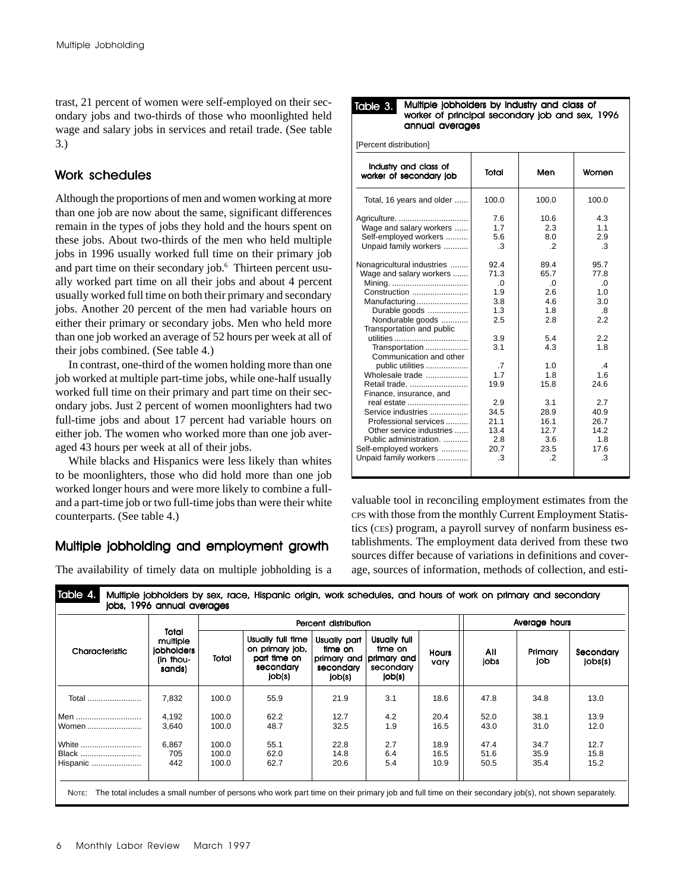trast, 21 percent of women were self-employed on their secondary jobs and two-thirds of those who moonlighted held wage and salary jobs in services and retail trade. (See table 3.)

# Work schedules

Although the proportions of men and women working at more than one job are now about the same, significant differences remain in the types of jobs they hold and the hours spent on these jobs. About two-thirds of the men who held multiple jobs in 1996 usually worked full time on their primary job and part time on their secondary job.6 Thirteen percent usually worked part time on all their jobs and about 4 percent usually worked full time on both their primary and secondary jobs. Another 20 percent of the men had variable hours on either their primary or secondary jobs. Men who held more than one job worked an average of 52 hours per week at all of their jobs combined. (See table 4.)

In contrast, one-third of the women holding more than one job worked at multiple part-time jobs, while one-half usually worked full time on their primary and part time on their secondary jobs. Just 2 percent of women moonlighters had two full-time jobs and about 17 percent had variable hours on either job. The women who worked more than one job averaged 43 hours per week at all of their jobs.

While blacks and Hispanics were less likely than whites to be moonlighters, those who did hold more than one job worked longer hours and were more likely to combine a fulland a part-time job or two full-time jobs than were their white counterparts. (See table 4.)

# Multiple jobholding and employment growth

The availability of timely data on multiple jobholding is a

| Table 3. | Multiple jobholders by industry and class of<br>worker of principal secondary job and sex, 1996 |
|----------|-------------------------------------------------------------------------------------------------|
|          | annual averages                                                                                 |

| [Percent distribution] |  |
|------------------------|--|
|------------------------|--|

| Industry and class of<br>worker of secondary job | Total     | Men      | Women         |
|--------------------------------------------------|-----------|----------|---------------|
| Total, 16 years and older                        | 100.0     | 100.0    | 100.0         |
| Agriculture.                                     | 7.6       | 10.6     | 4.3           |
| Wage and salary workers                          | 1.7       | 2.3      | 1.1           |
| Self-employed workers                            | 5.6       | 8.0      | 2.9           |
| Unpaid family workers                            | .3        | $\cdot$  | .3            |
| Nonagricultural industries                       | 92.4      | 89.4     | 95.7          |
| Wage and salary workers                          | 71.3      | 65.7     | 77.8          |
|                                                  | 0.        | $\Omega$ | .0            |
| Construction                                     | 1.9       | 2.6      | 1.0           |
| Manufacturing                                    | 3.8       | 4.6      | 3.0           |
| Durable goods                                    | 1.3       | 1.8      | .8            |
| Nondurable goods<br>Transportation and public    | 2.5       | 2.8      | 22            |
| utilities                                        | 3.9       | 5.4      | 2.2           |
| Transportation<br>Communication and other        | 3.1       | 4.3      | 1.8           |
| public utilities                                 | $\cdot$ 7 | 1.0      | $\mathcal{A}$ |
| Wholesale trade                                  | 1.7       | 1.8      | 1.6           |
| Retail trade.<br>Finance, insurance, and         | 19.9      | 15.8     | 24.6          |
| real estate                                      | 2.9       | 3.1      | 2.7           |
| Service industries                               | 34.5      | 28.9     | 40.9          |
| Professional services                            | 21.1      | 16.1     | 26.7          |
| Other service industries                         | 13.4      | 12.7     | 14.2          |
| Public administration.                           | 2.8       | 3.6      | 1.8           |
| Self-employed workers                            | 20.7      | 23.5     | 17.6          |
| Unpaid family workers                            | .3        | $\cdot$  | .3            |

valuable tool in reconciling employment estimates from the CPS with those from the monthly Current Employment Statistics (CES) program, a payroll survey of nonfarm business establishments. The employment data derived from these two sources differ because of variations in definitions and coverage, sources of information, methods of collection, and esti-

|                |                                                        | Percent distribution |                                                                             |                                                |                                                                           |                      | Average hours |                |                      |
|----------------|--------------------------------------------------------|----------------------|-----------------------------------------------------------------------------|------------------------------------------------|---------------------------------------------------------------------------|----------------------|---------------|----------------|----------------------|
| Characteristic | Total<br>multiple<br>jobholders<br>(in thou-<br>sands) | Total                | Usually full time<br>on primary job,<br>part time on<br>secondary<br>job(s) | Usually part<br>time on<br>secondary<br>job(s) | Usually full<br>time on<br>primary and primary and<br>secondary<br>job(s) | <b>Hours</b><br>vary | All<br>jobs   | Primary<br>job | Secondary<br> obs(s) |
| Total          | 7,832                                                  | 100.0                | 55.9                                                                        | 21.9                                           | 3.1                                                                       | 18.6                 | 47.8          | 34.8           | 13.0                 |
| Men            | 4,192                                                  | 100.0                | 62.2                                                                        | 12.7                                           | 4.2                                                                       | 20.4                 | 52.0          | 38.1           | 13.9                 |
| Women          | 3,640                                                  | 100.0                | 48.7                                                                        | 32.5                                           | 1.9                                                                       | 16.5                 | 43.0          | 31.0           | 12.0                 |
| White          | 6,867                                                  | 100.0                | 55.1                                                                        | 22.8                                           | 2.7                                                                       | 18.9                 | 47.4          | 34.7           | 12.7                 |
| Black          | 705                                                    | 100.0                | 62.0                                                                        | 14.8                                           | 6.4                                                                       | 16.5                 | 51.6          | 35.9           | 15.8                 |
| Hispanic       | 442                                                    | 100.0                | 62.7                                                                        | 20.6                                           | 5.4                                                                       | 10.9                 | 50.5          | 35.4           | 15.2                 |

Table 4. Multiple jobholders by sex, race, Hispanic origin, work schedules, and hours of work on primary and secondary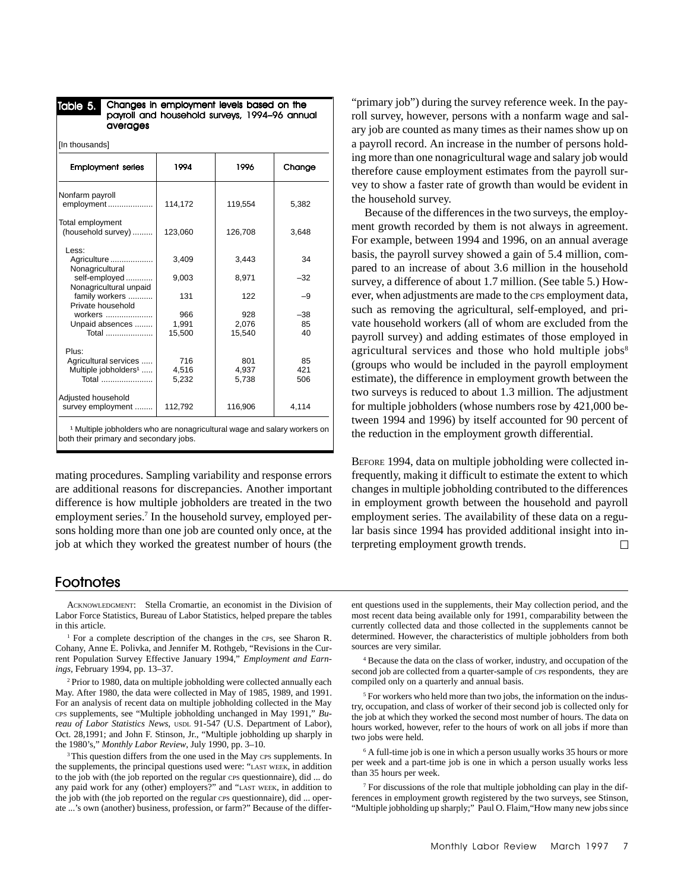#### Table 5. Changes in employment levels based on the payroll and household surveys, 1994-96 annual averages

| [In thousands]                          |         |         |        |  |  |  |  |  |
|-----------------------------------------|---------|---------|--------|--|--|--|--|--|
| <b>Employment series</b>                | 1994    | 1996    | Change |  |  |  |  |  |
| Nonfarm payroll<br>employment           | 114,172 | 119,554 | 5,382  |  |  |  |  |  |
| Total employment<br>(household survey)  | 123,060 | 126,708 | 3,648  |  |  |  |  |  |
| Less:<br>Agriculture<br>Nonagricultural | 3.409   | 3.443   | 34     |  |  |  |  |  |
| self-employed<br>Nonagricultural unpaid | 9,003   | 8,971   | $-32$  |  |  |  |  |  |
| family workers<br>Private household     | 131     | 122     | -9     |  |  |  |  |  |
| workers                                 | 966     | 928     | $-38$  |  |  |  |  |  |
| Unpaid absences                         | 1,991   | 2,076   | 85     |  |  |  |  |  |
| Total                                   | 15,500  | 15,540  | 40     |  |  |  |  |  |
| Plus:                                   |         |         |        |  |  |  |  |  |
| Agricultural services                   | 716     | 801     | 85     |  |  |  |  |  |
| Multiple jobholders <sup>1</sup>        | 4,516   | 4,937   | 421    |  |  |  |  |  |
| Total                                   | 5,232   | 5,738   | 506    |  |  |  |  |  |
| Adjusted household                      |         |         |        |  |  |  |  |  |
| survey employment                       | 112,792 | 116,906 | 4,114  |  |  |  |  |  |

<sup>1</sup> Multiple jobholders who are nonagricultural wage and salary workers on both their primary and secondary jobs.

mating procedures. Sampling variability and response errors are additional reasons for discrepancies. Another important difference is how multiple jobholders are treated in the two employment series.<sup>7</sup> In the household survey, employed persons holding more than one job are counted only once, at the job at which they worked the greatest number of hours (the

# **Footnotes**

ACKNOWLEDGMENT: Stella Cromartie, an economist in the Division of Labor Force Statistics, Bureau of Labor Statistics, helped prepare the tables in this article.

<sup>1</sup> For a complete description of the changes in the CPS, see Sharon R. Cohany, Anne E. Polivka, and Jennifer M. Rothgeb, "Revisions in the Current Population Survey Effective January 1994," *Employment and Earnings*, February 1994, pp. 13–37.

2 Prior to 1980, data on multiple jobholding were collected annually each May. After 1980, the data were collected in May of 1985, 1989, and 1991. For an analysis of recent data on multiple jobholding collected in the May CPS supplements, see "Multiple jobholding unchanged in May 1991," *Bureau of Labor Statistics News*, USDL 91-547 (U.S. Department of Labor), Oct. 28,1991; and John F. Stinson, Jr., "Multiple jobholding up sharply in the 1980's," *Monthly Labor Review*, July 1990, pp. 3–10.

<sup>3</sup> This question differs from the one used in the May CPS supplements. In the supplements, the principal questions used were: "LAST WEEK, in addition to the job with (the job reported on the regular CPS questionnaire), did ... do any paid work for any (other) employers?" and "LAST WEEK, in addition to the job with (the job reported on the regular CPS questionnaire), did ... operate ...'s own (another) business, profession, or farm?" Because of the differ-

"primary job") during the survey reference week. In the payroll survey, however, persons with a nonfarm wage and salary job are counted as many times as their names show up on a payroll record. An increase in the number of persons holding more than one nonagricultural wage and salary job would therefore cause employment estimates from the payroll survey to show a faster rate of growth than would be evident in the household survey.

Because of the differences in the two surveys, the employment growth recorded by them is not always in agreement. For example, between 1994 and 1996, on an annual average basis, the payroll survey showed a gain of 5.4 million, compared to an increase of about 3.6 million in the household survey, a difference of about 1.7 million. (See table 5.) However, when adjustments are made to the CPS employment data, such as removing the agricultural, self-employed, and private household workers (all of whom are excluded from the payroll survey) and adding estimates of those employed in agricultural services and those who hold multiple jobs $8$ (groups who would be included in the payroll employment estimate), the difference in employment growth between the two surveys is reduced to about 1.3 million. The adjustment for multiple jobholders (whose numbers rose by 421,000 between 1994 and 1996) by itself accounted for 90 percent of the reduction in the employment growth differential.

BEFORE 1994, data on multiple jobholding were collected infrequently, making it difficult to estimate the extent to which changes in multiple jobholding contributed to the differences in employment growth between the household and payroll employment series. The availability of these data on a regular basis since 1994 has provided additional insight into interpreting employment growth trends.  $\Box$ 

ent questions used in the supplements, their May collection period, and the most recent data being available only for 1991, comparability between the currently collected data and those collected in the supplements cannot be determined. However, the characteristics of multiple jobholders from both sources are very similar.

4 Because the data on the class of worker, industry, and occupation of the second job are collected from a quarter-sample of CPS respondents, they are compiled only on a quarterly and annual basis.

<sup>5</sup> For workers who held more than two jobs, the information on the industry, occupation, and class of worker of their second job is collected only for the job at which they worked the second most number of hours. The data on hours worked, however, refer to the hours of work on all jobs if more than two jobs were held.

6 A full-time job is one in which a person usually works 35 hours or more per week and a part-time job is one in which a person usually works less than 35 hours per week.

7 For discussions of the role that multiple jobholding can play in the differences in employment growth registered by the two surveys, see Stinson, "Multiple jobholding up sharply;" Paul O. Flaim,"How many new jobs since